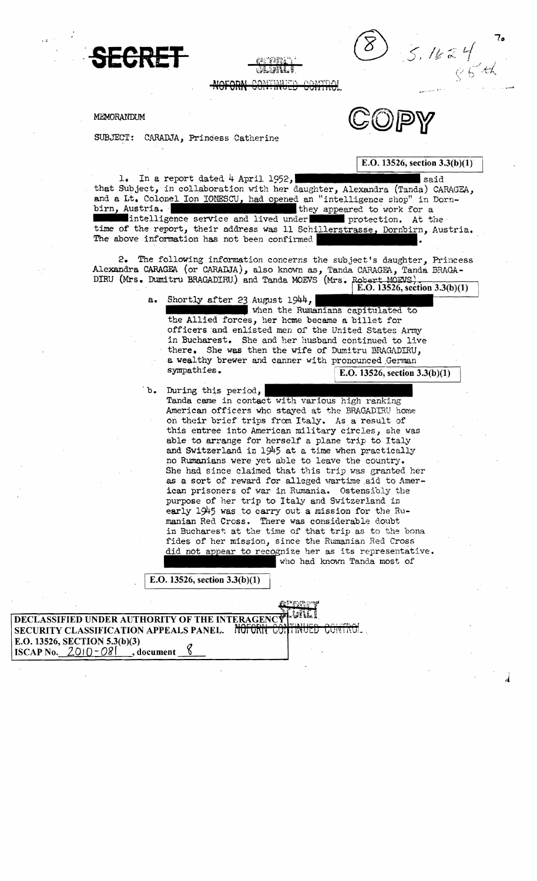



MEMORANDUM

SUBJECT: CARADJA, Princess Catherine

1. In a report dated  $4$  April 1952,  $\blacksquare$  . said that Subject, in collaboration with her daughter, Alexandra (Tanda) CARAGEA, and a Lt. Colonel Ion IONESCU, had opened an "intelligence shop" in Dorn-<br>birn, Austria. they appeared to work for a intelligence service and lived under **protection**. At the time of the report, their address was 11 Schillerstrasse, Dornbirn, Austria. The above information has not been confirmed.

DIRU (Mrs. Dumitru BRAGADIRU) and Tanda MOEVS (Mrs. Robert MOEVS) 2. The following information concerns the subject's daughter, Princess Alexandra CARAGEA (or CARADJA), also known as, Tanda CARAGEA, Tanda BRAGA-

E.O. 13526, section 3.3(b)(1)

- a. Shortly after 23 August 1944, when the Rumanians capitulated to the Alliea forces, her heme became a billet for
	- officers and enlisted men of the United States Army in Bucharest. She and her husband continued to live there. She was then the wife of Dumitru BRAGADIRU, a wealthy brewer and canner with pronounced German sympathies.<br> $\sqrt{E} \Omega$  13526 section E.O. 13526, section  $3.3(b)(1)$

 $b.$  During this period, Tanda came in contact with various high ranking American officers who stayed at the BRAGADIRU home on their brief trips from Italy. As a result of this entree into American military circles, she was able to arrange for herself a plane trip to Italy and Switzerland in 1945 at a time when practically no Rumanians were yet able to leave the country. She had since claimed that this trip was granted her as a sort of reward for alleged wartime aid to American prisoners of war in Rumania. Ostensibly the purpose of her trip to Italy and Switzerland in early 1945 was to carry out a mission for the Rumanian Red Cross. There was considerable doubt in Bucharest at the time of that trip as to the bona fides of her mission, since the Rumanian Red Cross did not appear to recognize her as its representative. who had known Tanda most of

E.O. 13526, section  $3.3(b)(1)$ 

DECLASSIFIED UNDER AUTHORITY OF THE INTERAGENC SECURITY CLASSIFICATION APPEALS PANEL. ~ NUI UNII COTTINUED E.O. 13526, SECTION 5.3(b)(3) ISCAP No.  $2010-081$ , document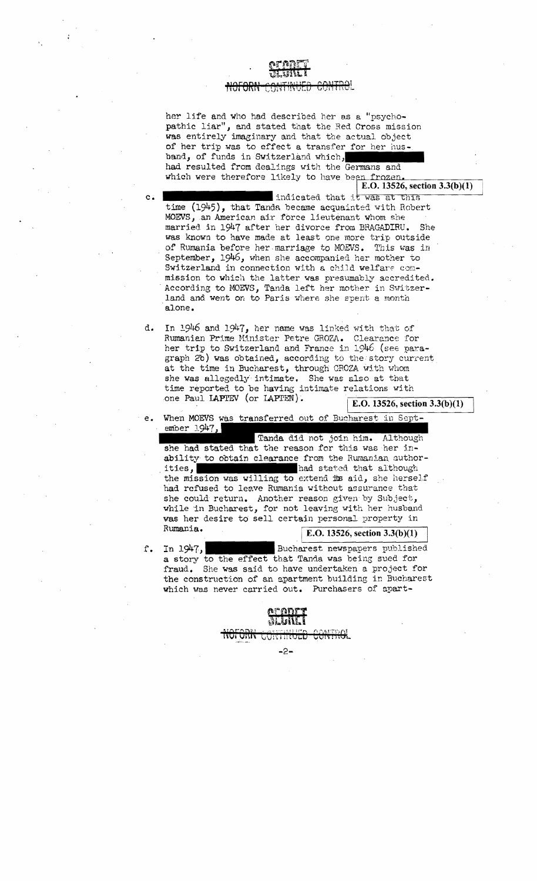# <del>CUM HIC</del>L

her life and who had described her as a "psychopathic liar", and stated that the Red Cross mission was entirely imaginary and that the actual object of her trip was to effect a transfer for her husband, of funds in Switzerland which had resulted from dealings with the Germans and which were therefore likely to have been frozen.<br> $E.D. 13526$ , section  $3.3(b)(1)$ 

 $\overline{a}$ 

c. **Indicated that it was at this** time (1945), that Tanda became acquainted with Hobert MOEVS, an American air force lieutenant whom she married in 1947 after her divorce from BRAGADIRU. She was known to have made at least one more trip outside of Rumania before her marriage to MOEVS. This was in September,  $1946$ , when she accompanied her mother to Switzerland in connection with a child welfare conmission to which the latter was presumably accredited • . According to MOEVS, Tanda left her mother in Switzerland and went on to Paris where she spent a month 'alone.

d. In 1946 and 1947, her name was linked with that of Rumanian Prime Hinlster Petre GROZA.. Clearance for her trip to Switzerland and France in 1946 (see paragraph 2b) was obtained, according to the story current at the time in Bucharest, through CROZA with whom she was allegedly intimate. She was also at that time reported to be having intimate relations with one Paul IAPIEV (or IAPIEN).<br> $E.D. 13526, section 3.3(b)(1)$ 

When MOEVS was transferred out of Bucharest in September 1947,

e.

Tanda did not join him. Although she had stated that the reason for this was her inability to obtain clearance from the Rumanian authorities, had stated that although the mission was willing to extend its aid, she herself had refused to leave Rumania without assurance that she could return. Another reason given by Subject, while 'in Bucharest, for not leaving with her husband was her desire to sell certain personal property in Rumania.  $\sqrt{E.O. 13526, \text{section } 3.3(b)(1)}$ 

f. In 1947, Bucharest newspapers published a story to the effect that Tanda was being sued for fraud. She was said to have undertaken a project for the construction of an apartment building in Bucharest which was never carried out. Purchasers of apart-

> הצתקים אמוס מסוי **vuit 11101**

> > -2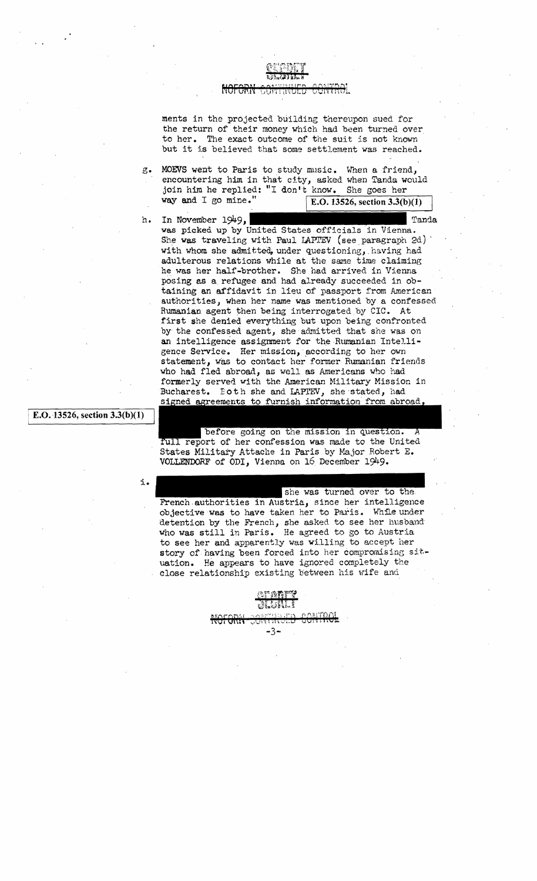

### 15011 GB

ments in the projected. building thereupon sued for the return of their money which had been turned over to her. The exact outcome of the suit is not known but it is believed that some settlement was reached.

- g. MOEVS went to Paris to study music. When a friend, encountering him in that city, asked when Tanda would join him he replied: "I don't know. She goes her way and I go mine." E.O. 13526, section  $3.\overline{3(b)(1)}$
- h. In November 1949,

vas picked up by United States officials in Vienna. She was traveling with Paul LAPTEV (see paragraph 2d) with whom she admitted, under questioning, having had adulterous relations while at the same time claiming he was her half-brother. She had arrived in Vienna posing as a, refugee and had already succeeded in obtaining an affidavit in lieu of passport from American authorities, when her name was mentioned by a confessed Rumanian agent then being interrogated by CIC. At first she denied everything but upon being confronted by the confessed agent, she admitted that she was on an intelligence assignment for the Rumanian Intelligence Service. Her mission, according to her own statement, was to contact her former Rumanian friends who had fled abroad, as Well as Americans who had formerly served with the American Military Mission in Bucharest. Eoth she and LAPIEV, she stated, had signed agreements to furnish information from abroad,

### E.O. 13526, section  $3.3(b)(1)$

i.

before going on the mission in question. A full report of her confession was made to the United States Military Attache in Paris by Major Robert E. VOLLENDORF of ODl, Vienna on 16 December 1949.

she was turned over to the French authorities in Austria, since her intelligence objective was to have taken her to Paris. While under detention by the French, she asked to see her husband who was still in Paris. He agreed to go to Austria to see her and apparently was willing to accept her story of having been forced into her compromising situation. He appears to have ignored completely the close relationship existing between his wife and

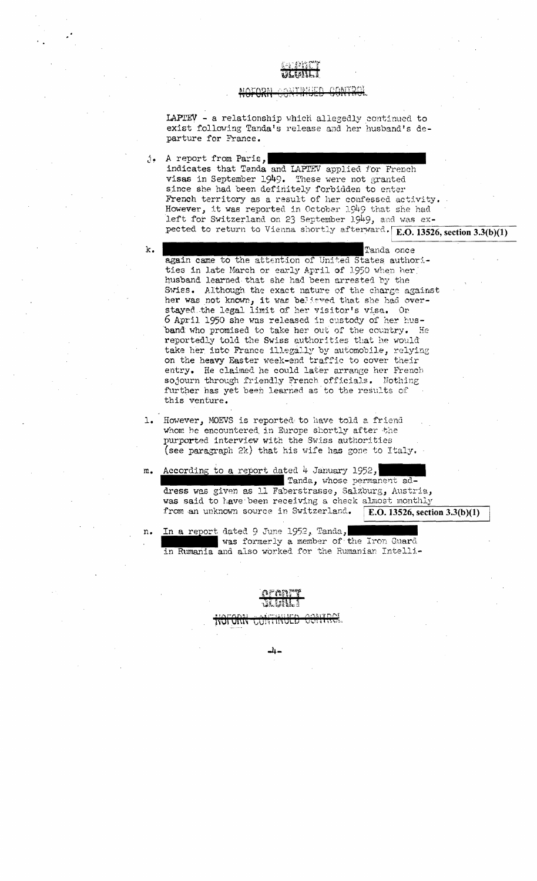### AANTOO

LAPTEV - a relationship which allegedly continued to exist following Tanda's release and her husband's departure for France.

j. A report from Paris, indicates that Tanda and LAPTEV applied for French visas in September 1949. These were not granted since she had been definitely forbidden to enter French territory as a result of her confessed activity. However, it was reported in October 1949 that she had left for Switzerland on 23 September 1949, and was expected to return to Vienna shortly afterward. E.O. 13526, section 3.3(b)(1)

k.

Tanda once again came to the attention of United States authorities in late March or early April of 1950 when her husband learned that she had been arrested by the Swiss. Although the exact nature of the charge against her was not known, it was believed that she had overstayed the legal limit of her visitor's visa. On 6 April 1950 she was released in custody of her husband who promised to take her out of the country. He reportedly told the Swiss authorities that he would take her into France illegally by automobile, relying on the heavy Easter week-end traffic to cover their entry. He claimed he could later arrange her French sojourn through friendly French officials. Nothing further has yet been learned as to the results of this venture.

- 1. However, MOEVS is reported to have told a friend whom he encountered in Europe shortly after the purported interview with the Swiss authorities (see paragraph 2k) that his wife has gone to Italy.
- m. According to a report dated 4 January 1952, Tanda, whose permanent address was given as 11 Faberstrasse, Salzburg, Austria, was said to have been receiving a check almost monthly from an unknown source in Switzerland. E.O. 13526, section  $3.3(b)(1)$
- In a report dated 9 June 1952, Tanda, n. was formerly a member of the Iron Guard in Rumania and also worked for the Rumanian Intelli-



**IYUL QIYIY GUISTINO** 

-4-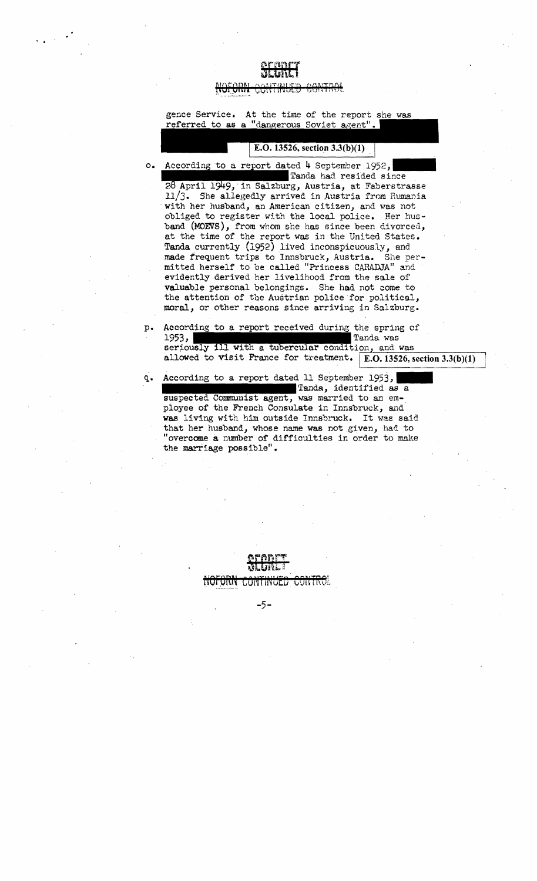· .

gence Service. At the time of the report she was referred to as a "dangerous Soviet agent".

o. According to a report dated 4 September 1952, , Salzburg, Austria, at Faberstrasse Tanda had resided since

 $11/3$ . She allegedly arrived in Austria from Rumania with her husband, an American citizen, and was not obliged to register with the local police. Her hus band (MOEVS), from whom she has since been divorced, at the time of the report was in the United States. Tanda currently (1952) lived inconspicuously, and made frequent trips to Innsbruck, Austria. She per mitted herself to be called "Princess CARADJA" and evidently derived her livelihood from the sale of valuable personal belongings. She had not come to the attention of the Austrian police for political, moral, or other reasons since arriving in Salzburg.

- p. According to a report received during the spring of 1953, Tanda was seriously ill with a tubercular condition, and was allowed to visit France for treatment.  $|E.0.13526$ , section 3.3(b)(1)
- q. According to a report dated 11 September 1953, Tanda, identified as a , was married to an em ployee of the French Consulate in Innsbruck, and was living with him outside Innsbruck. It was said that her husband, whose name was not given, had to "overcome a number of difficulties in order to make the marriage possible".



 $-5 -$